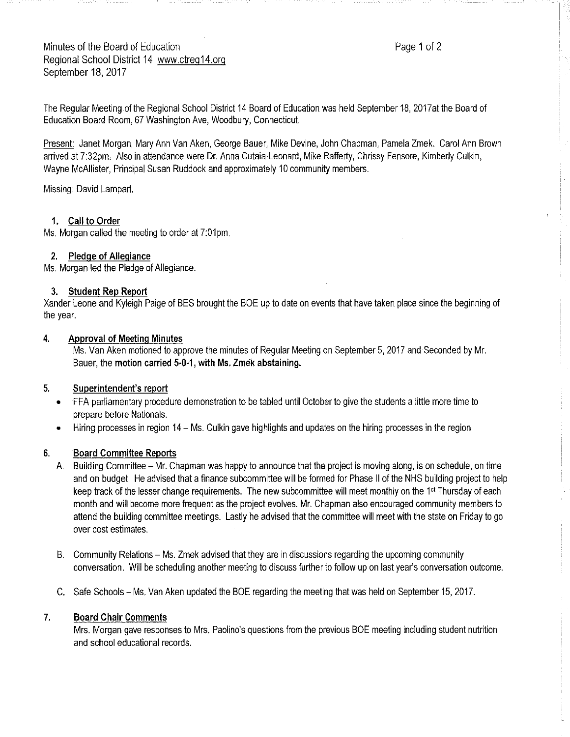Minutes of the Board of Education **Page 1 of 2** and 2 Regional School District 14 www.ctreg14.org September 18, 2017

The Regular Meeting of the Regional School District 14 Board of Education was held September 18, 2017at the Board of Education Board Room, 67 Washington Ave, Woodbury, Connecticut.

Present: Janet Morgan, Mary Ann Van Aken, George Bauer, Mike Devine, John Chapman, Pamela Zmek. Carol Ann Brown arrived at 7:32pm, Also in attendance were Dr. Anna Cutaia-Leonard, Mike Rafferty, Chrissy Fensore, Kimberly Culkin, Wayne McAllister, Principal Susan Ruddock and approximately 10 community members.

Missing: David Lampart.

#### **1. Call to Order**

Ms. Morgan called the meeting to order at 7:01pm.

#### **2. Pledge of Allegiance**

Ms. Morgan led the Pledge of Allegiance.

#### **3. Student Rep Report**

Xander Leone and Kyleigh Paige of BES brought the BOE up to date on events that have taken place since the beginning of the year.

#### **4. Approval of Meeting Minutes**

Ms. Van Aken motioned to approve the minutes of Regular Meeting on September 5, 2017 and Seconded by Mr. Bauer, the **motion carried 5-0-1, with Ms. Zmek abstaining.** 

#### **5. Superintendent's report**

- FFA parliamentary procedure demonstration to be tabled until October to give the students a little more time to prepare before Nationals.
- Hiring processes in region 14 Ms. Culkin gave highlights and updates on the hiring processes in the region

## **6. Board Committee Reports**

- A. Building Committee Mr. Chapman was happy to announce that the project is moving along, is on schedule, on time and on budget. He advised that afinance subcommittee will be formed for Phase 11 of the NHS building project to help keep track of the lesser change requirements. The new subcommittee will meet monthly on the 1<sup>st</sup> Thursday of each month and will become more frequent as the project evolves. Mr. Chapman also encouraged community members to attend the building committee meetings. Lastly he advised that the committee will meet with the state on Friday to go over cost estimates.
- B. Community Relations Ms. Zmek advised that they are in discussions regarding the upcoming community conversation. Will be scheduling another meeting to discuss further to follow up on last year's conversation outcome.
- C. Safe Schools Ms. Van Aken updated the BOE regarding the meeting that was held on September 15, 2017.

## **7. Board Chair Comments**

Mrs. Morgan gave responses to Mrs. Paolino's questions from the previous BOE meeting including student nutrition and school educational records.